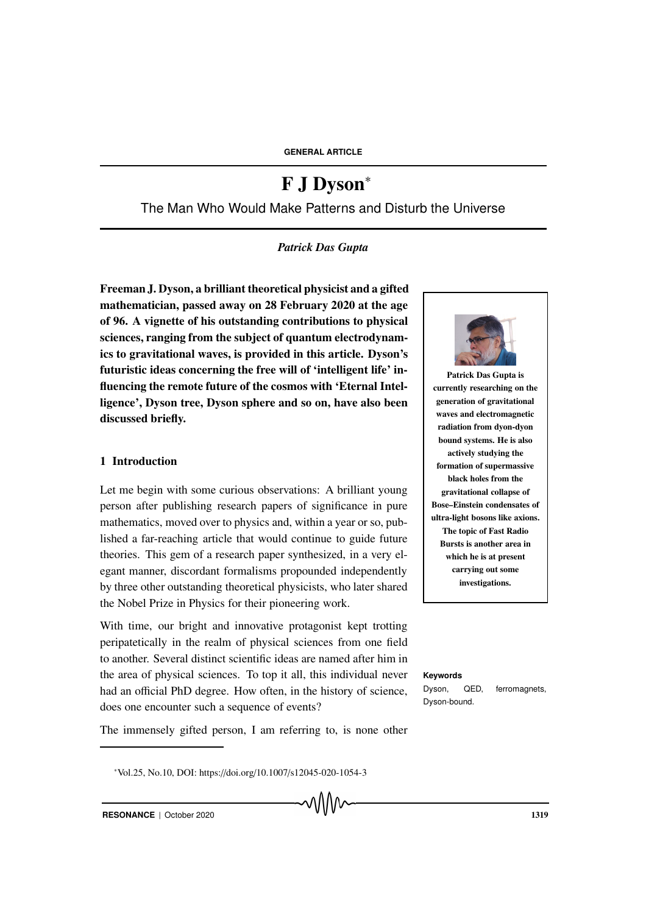# F J Dyson<sup>∗</sup>

The Man Who Would Make Patterns and Disturb the Universe

## *Patrick Das Gupta*

Freeman J. Dyson, a brilliant theoretical physicist and a gifted mathematician, passed away on 28 February 2020 at the age of 96. A vignette of his outstanding contributions to physical sciences, ranging from the subject of quantum electrodynamics to gravitational waves, is provided in this article. Dyson's futuristic ideas concerning the free will of 'intelligent life' influencing the remote future of the cosmos with 'Eternal Intelligence', Dyson tree, Dyson sphere and so on, have also been discussed briefly.

## 1 Introduction

Let me begin with some curious observations: A brilliant young person after publishing research papers of significance in pure mathematics, moved over to physics and, within a year or so, published a far-reaching article that would continue to guide future theories. This gem of a research paper synthesized, in a very elegant manner, discordant formalisms propounded independently by three other outstanding theoretical physicists, who later shared the Nobel Prize in Physics for their pioneering work.

With time, our bright and innovative protagonist kept trotting peripatetically in the realm of physical sciences from one field to another. Several distinct scientific ideas are named after him in the area of physical sciences. To top it all, this individual never **Keywords** had an official PhD degree. How often, in the history of science, does one encounter such a sequence of events?

The immensely gifted person, I am referring to, is none other



Patrick Das Gupta is currently researching on the generation of gravitational waves and electromagnetic radiation from dyon-dyon bound systems. He is also actively studying the formation of supermassive black holes from the gravitational collapse of Bose–Einstein condensates of ultra-light bosons like axions. The topic of Fast Radio Bursts is another area in which he is at present carrying out some investigations.

Dyson, QED, ferromagnets, Dyson-bound.

<sup>∗</sup>Vol.25, No.10, DOI: https://doi.org/10.1007/s12045-020-1054-3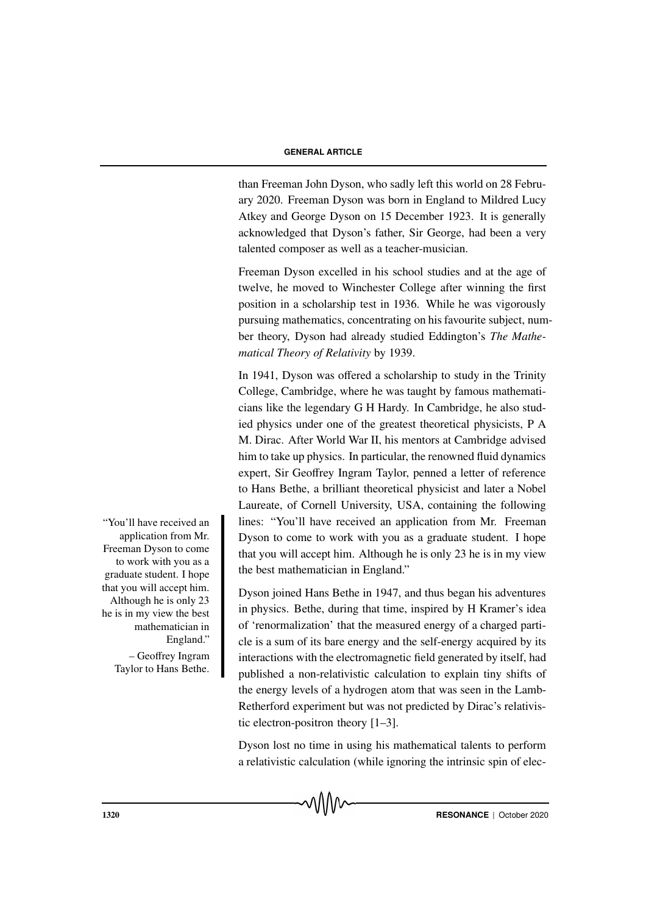than Freeman John Dyson, who sadly left this world on 28 February 2020. Freeman Dyson was born in England to Mildred Lucy Atkey and George Dyson on 15 December 1923. It is generally acknowledged that Dyson's father, Sir George, had been a very talented composer as well as a teacher-musician.

Freeman Dyson excelled in his school studies and at the age of twelve, he moved to Winchester College after winning the first position in a scholarship test in 1936. While he was vigorously pursuing mathematics, concentrating on his favourite subject, number theory, Dyson had already studied Eddington's *The Mathematical Theory of Relativity* by 1939.

In 1941, Dyson was offered a scholarship to study in the Trinity College, Cambridge, where he was taught by famous mathematicians like the legendary G H Hardy. In Cambridge, he also studied physics under one of the greatest theoretical physicists, P A M. Dirac. After World War II, his mentors at Cambridge advised him to take up physics. In particular, the renowned fluid dynamics expert, Sir Geoffrey Ingram Taylor, penned a letter of reference to Hans Bethe, a brilliant theoretical physicist and later a Nobel Laureate, of Cornell University, USA, containing the following lines: "You'll have received an application from Mr. Freeman Dyson to come to work with you as a graduate student. I hope that you will accept him. Although he is only 23 he is in my view the best mathematician in England."

Dyson joined Hans Bethe in 1947, and thus began his adventures in physics. Bethe, during that time, inspired by H Kramer's idea of 'renormalization' that the measured energy of a charged particle is a sum of its bare energy and the self-energy acquired by its interactions with the electromagnetic field generated by itself, had published a non-relativistic calculation to explain tiny shifts of the energy levels of a hydrogen atom that was seen in the Lamb-Retherford experiment but was not predicted by Dirac's relativistic electron-positron theory [1–3].

Dyson lost no time in using his mathematical talents to perform a relativistic calculation (while ignoring the intrinsic spin of elec-

"You'll have received an application from Mr. Freeman Dyson to come to work with you as a graduate student. I hope that you will accept him. Although he is only 23 he is in my view the best mathematician in England." – Geoffrey Ingram

Taylor to Hans Bethe.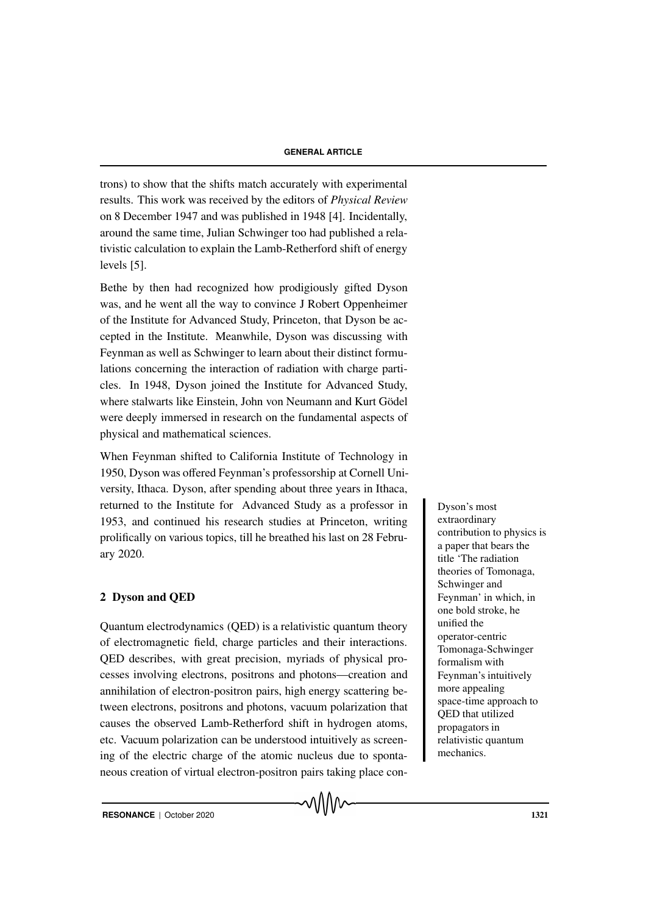trons) to show that the shifts match accurately with experimental results. This work was received by the editors of *Physical Review* on 8 December 1947 and was published in 1948 [4]. Incidentally, around the same time, Julian Schwinger too had published a relativistic calculation to explain the Lamb-Retherford shift of energy levels [5].

Bethe by then had recognized how prodigiously gifted Dyson was, and he went all the way to convince J Robert Oppenheimer of the Institute for Advanced Study, Princeton, that Dyson be accepted in the Institute. Meanwhile, Dyson was discussing with Feynman as well as Schwinger to learn about their distinct formulations concerning the interaction of radiation with charge particles. In 1948, Dyson joined the Institute for Advanced Study, where stalwarts like Einstein, John von Neumann and Kurt Gödel were deeply immersed in research on the fundamental aspects of physical and mathematical sciences.

When Feynman shifted to California Institute of Technology in 1950, Dyson was offered Feynman's professorship at Cornell University, Ithaca. Dyson, after spending about three years in Ithaca, returned to the Institute for Advanced Study as a professor in Dyson's most 1953, and continued his research studies at Princeton, writing prolifically on various topics, till he breathed his last on 28 February 2020.

## 2 Dyson and QED

Quantum electrodynamics (QED) is a relativistic quantum theory of electromagnetic field, charge particles and their interactions. QED describes, with great precision, myriads of physical processes involving electrons, positrons and photons—creation and annihilation of electron-positron pairs, high energy scattering between electrons, positrons and photons, vacuum polarization that causes the observed Lamb-Retherford shift in hydrogen atoms, etc. Vacuum polarization can be understood intuitively as screening of the electric charge of the atomic nucleus due to spontaneous creation of virtual electron-positron pairs taking place con-

√∖∖∖∧∼

extraordinary contribution to physics is a paper that bears the title 'The radiation theories of Tomonaga, Schwinger and Feynman' in which, in one bold stroke, he unified the operator-centric Tomonaga-Schwinger formalism with Feynman's intuitively more appealing space-time approach to QED that utilized propagators in relativistic quantum mechanics.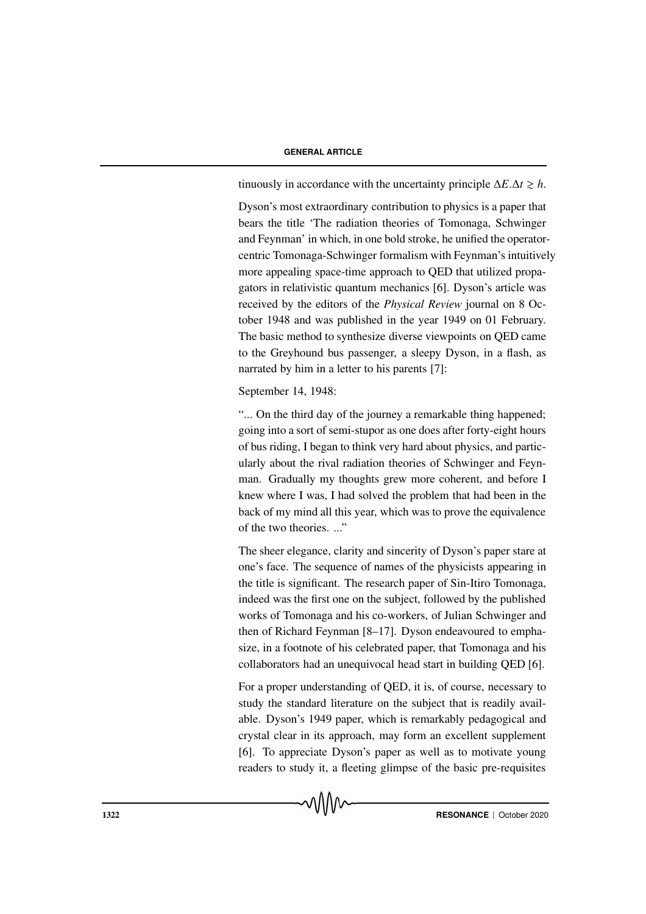tinuously in accordance with the uncertainty principle  $\Delta E \cdot \Delta t \geq h$ .

Dyson's most extraordinary contribution to physics is a paper that bears the title 'The radiation theories of Tomonaga, Schwinger and Feynman' in which, in one bold stroke, he unified the operatorcentric Tomonaga-Schwinger formalism with Feynman's intuitively more appealing space-time approach to QED that utilized propagators in relativistic quantum mechanics [6]. Dyson's article was received by the editors of the *Physical Review* journal on 8 October 1948 and was published in the year 1949 on 01 February. The basic method to synthesize diverse viewpoints on QED came to the Greyhound bus passenger, a sleepy Dyson, in a flash, as narrated by him in a letter to his parents [7]:

September 14, 1948:

"... On the third day of the journey a remarkable thing happened; going into a sort of semi-stupor as one does after forty-eight hours of bus riding, I began to think very hard about physics, and particularly about the rival radiation theories of Schwinger and Feynman. Gradually my thoughts grew more coherent, and before I knew where I was, I had solved the problem that had been in the back of my mind all this year, which was to prove the equivalence of the two theories. ..."

The sheer elegance, clarity and sincerity of Dyson's paper stare at one's face. The sequence of names of the physicists appearing in the title is significant. The research paper of Sin-Itiro Tomonaga, indeed was the first one on the subject, followed by the published works of Tomonaga and his co-workers, of Julian Schwinger and then of Richard Feynman [8–17]. Dyson endeavoured to emphasize, in a footnote of his celebrated paper, that Tomonaga and his collaborators had an unequivocal head start in building QED [6].

For a proper understanding of QED, it is, of course, necessary to study the standard literature on the subject that is readily available. Dyson's 1949 paper, which is remarkably pedagogical and crystal clear in its approach, may form an excellent supplement [6]. To appreciate Dyson's paper as well as to motivate young readers to study it, a fleeting glimpse of the basic pre-requisites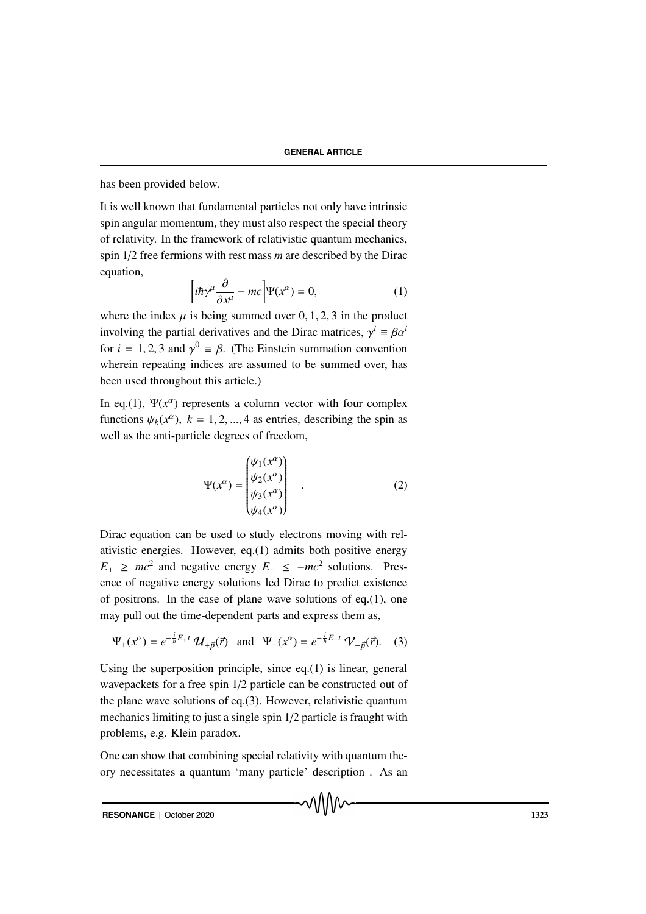has been provided below.

It is well known that fundamental particles not only have intrinsic spin angular momentum, they must also respect the special theory of relativity. In the framework of relativistic quantum mechanics, spin 1/2 free fermions with rest mass *m* are described by the Dirac equation,

$$
\left[i\hbar\gamma^{\mu}\frac{\partial}{\partial x^{\mu}} - mc\right]\Psi(x^{\alpha}) = 0, \tag{1}
$$

where the index  $\mu$  is being summed over 0, 1, 2, 3 in the product involving the partial derivatives and the Dirac matrices,  $\gamma^i \equiv \beta \alpha^i$ for  $i = 1, 2, 3$  and  $\gamma^0 \equiv \beta$ . (The Einstein summation convention wherein repeating indices are assumed to be summed over, has been used throughout this article.)

In eq.(1),  $\Psi(x^{\alpha})$  represents a column vector with four complex functions  $\psi_k(x^{\alpha})$ ,  $k = 1, 2, ..., 4$  as entries, describing the spin as well as the anti-particle degrees of freedom,

$$
\Psi(x^{\alpha}) = \begin{pmatrix} \psi_1(x^{\alpha}) \\ \psi_2(x^{\alpha}) \\ \psi_3(x^{\alpha}) \\ \psi_4(x^{\alpha}) \end{pmatrix} .
$$
 (2)

Dirac equation can be used to study electrons moving with relativistic energies. However, eq.(1) admits both positive energy  $E_+ \geq mc^2$  and negative energy  $E_- \leq -mc^2$  solutions. Presence of negative energy solutions led Dirac to predict existence of positrons. In the case of plane wave solutions of eq.(1), one may pull out the time-dependent parts and express them as,

$$
\Psi_{+}(x^{\alpha}) = e^{-\frac{i}{\hbar}E_{+}t} \mathcal{U}_{+\vec{p}}(\vec{r})
$$
 and  $\Psi_{-}(x^{\alpha}) = e^{-\frac{i}{\hbar}E_{-}t} \mathcal{V}_{-\vec{p}}(\vec{r}).$  (3)

Using the superposition principle, since eq.(1) is linear, general wavepackets for a free spin 1/2 particle can be constructed out of the plane wave solutions of eq.(3). However, relativistic quantum mechanics limiting to just a single spin 1/2 particle is fraught with problems, e.g. Klein paradox.

One can show that combining special relativity with quantum theory necessitates a quantum 'many particle' description . As an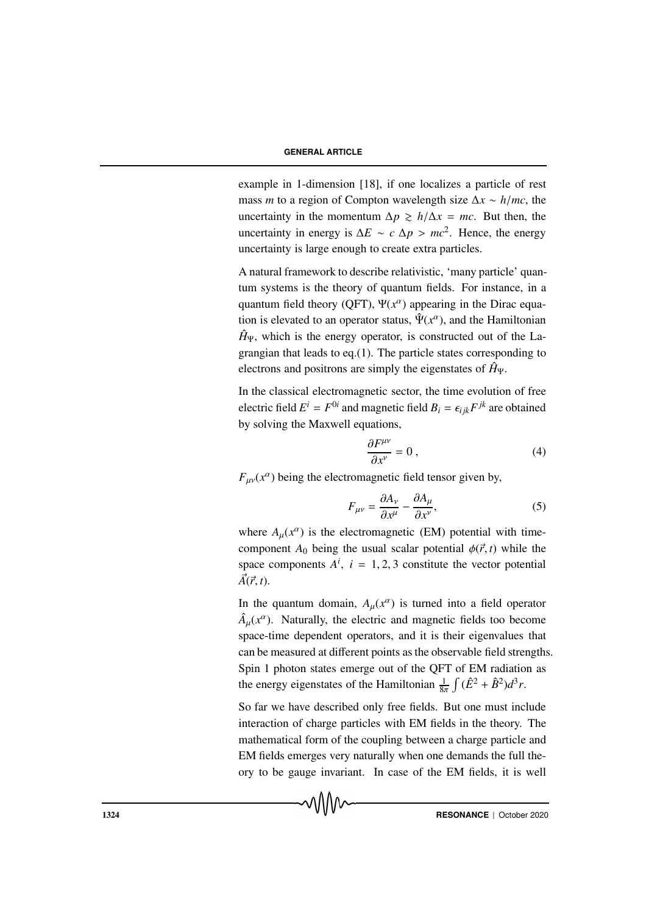example in 1-dimension [18], if one localizes a particle of rest mass *m* to a region of Compton wavelength size ∆*x* ∼ *h*/*mc*, the uncertainty in the momentum  $\Delta p \ge h/\Delta x = mc$ . But then, the uncertainty in energy is  $\Delta E \sim c \Delta p > mc^2$ . Hence, the energy uncertainty is large enough to create extra particles.

A natural framework to describe relativistic, 'many particle' quantum systems is the theory of quantum fields. For instance, in a quantum field theory (QFT),  $\Psi(x^{\alpha})$  appearing in the Dirac equation is elevated to an operator status,  $\hat{\Psi}(x^{\alpha})$ , and the Hamiltonian  $\hat{H}_{\Psi}$ , which is the energy operator, is constructed out of the Lagrangian that leads to eq.(1). The particle states corresponding to electrons and positrons are simply the eigenstates of  $\hat{H}_{\Psi}$ .

In the classical electromagnetic sector, the time evolution of free electric field  $E^i = F^{0i}$  and magnetic field  $B_i = \epsilon_{ijk} F^{jk}$  are obtained by solving the Maxwell equations,

$$
\frac{\partial F^{\mu\nu}}{\partial x^{\nu}} = 0 \,, \tag{4}
$$

 $F_{\mu\nu}(x^{\alpha})$  being the electromagnetic field tensor given by,

$$
F_{\mu\nu} = \frac{\partial A_{\nu}}{\partial x^{\mu}} - \frac{\partial A_{\mu}}{\partial x^{\nu}},
$$
\n(5)

where  $A_\mu(x^\alpha)$  is the electromagnetic (EM) potential with timecomponent  $A_0$  being the usual scalar potential  $\phi(\vec{r}, t)$  while the space components  $A^i$ ,  $i = 1, 2, 3$  constitute the vector potential  $\vec{A}(\vec{r}, t)$ .

In the quantum domain,  $A_\mu(x^\alpha)$  is turned into a field operator  $\hat{A}_{\mu}(x^{\alpha})$ . Naturally, the electric and magnetic fields too become space-time dependent operators, and it is their eigenvalues that can be measured at different points as the observable field strengths. Spin 1 photon states emerge out of the QFT of EM radiation as the energy eigenstates of the Hamiltonian  $\frac{1}{8\pi} \int (\hat{E}^2 + \hat{B}^2) d^3r$ .

So far we have described only free fields. But one must include interaction of charge particles with EM fields in the theory. The mathematical form of the coupling between a charge particle and EM fields emerges very naturally when one demands the full theory to be gauge invariant. In case of the EM fields, it is well

**1324** RESONANCE | October 2020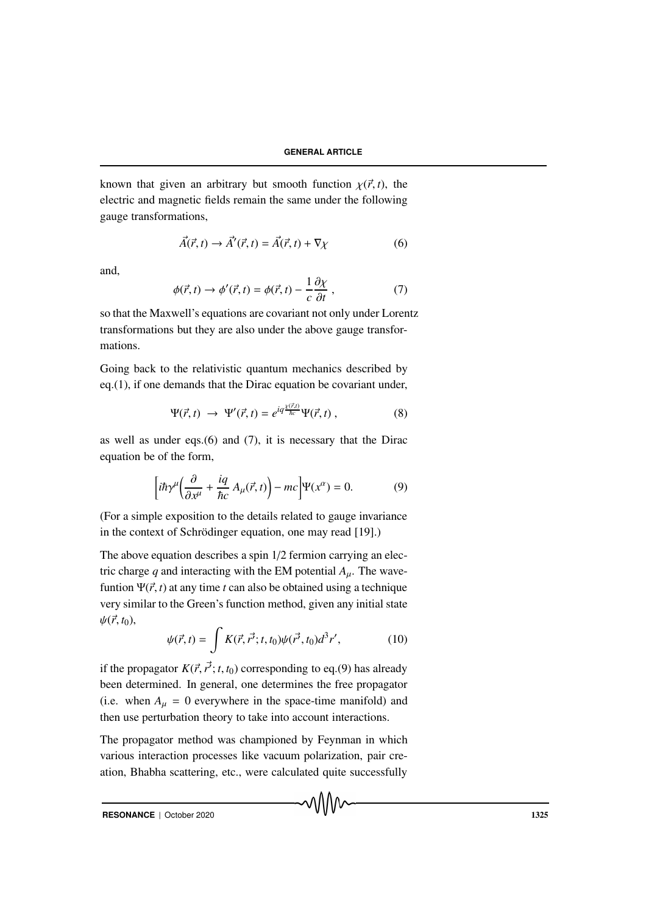known that given an arbitrary but smooth function  $\chi(\vec{r}, t)$ , the electric and magnetic fields remain the same under the following gauge transformations,

$$
\vec{A}(\vec{r},t) \rightarrow \vec{A}'(\vec{r},t) = \vec{A}(\vec{r},t) + \nabla \chi \tag{6}
$$

and,

$$
\phi(\vec{r},t) \to \phi'(\vec{r},t) = \phi(\vec{r},t) - \frac{1}{c} \frac{\partial \chi}{\partial t}, \qquad (7)
$$

so that the Maxwell's equations are covariant not only under Lorentz transformations but they are also under the above gauge transformations.

Going back to the relativistic quantum mechanics described by eq.(1), if one demands that the Dirac equation be covariant under,

$$
\Psi(\vec{r},t) \rightarrow \Psi'(\vec{r},t) = e^{iq\frac{\chi(\vec{r},t)}{\hbar c}}\Psi(\vec{r},t) , \qquad (8)
$$

as well as under eqs.(6) and (7), it is necessary that the Dirac equation be of the form,

$$
\left[i\hbar\gamma^{\mu}\left(\frac{\partial}{\partial x^{\mu}} + \frac{iq}{\hbar c}A_{\mu}(\vec{r},t)\right) - mc\right]\Psi(x^{\alpha}) = 0. \tag{9}
$$

(For a simple exposition to the details related to gauge invariance in the context of Schrödinger equation, one may read [19].)

The above equation describes a spin 1/2 fermion carrying an electric charge  $q$  and interacting with the EM potential  $A_\mu$ . The wavefuntion  $\Psi(\vec{r}, t)$  at any time *t* can also be obtained using a technique very similar to the Green's function method, given any initial state  $\psi(\vec{r}, t_0)$ ,

$$
\psi(\vec{r},t) = \int K(\vec{r},\vec{r'};t,t_0)\psi(\vec{r'},t_0)d^3r',
$$
 (10)

√∖∖∨∿

if the propagator  $K(\vec{r}, \vec{r'}; t, t_0)$  corresponding to eq.(9) has already been determined. In general, one determines the free propagator (i.e. when  $A_{\mu} = 0$  everywhere in the space-time manifold) and then use perturbation theory to take into account interactions.

The propagator method was championed by Feynman in which various interaction processes like vacuum polarization, pair creation, Bhabha scattering, etc., were calculated quite successfully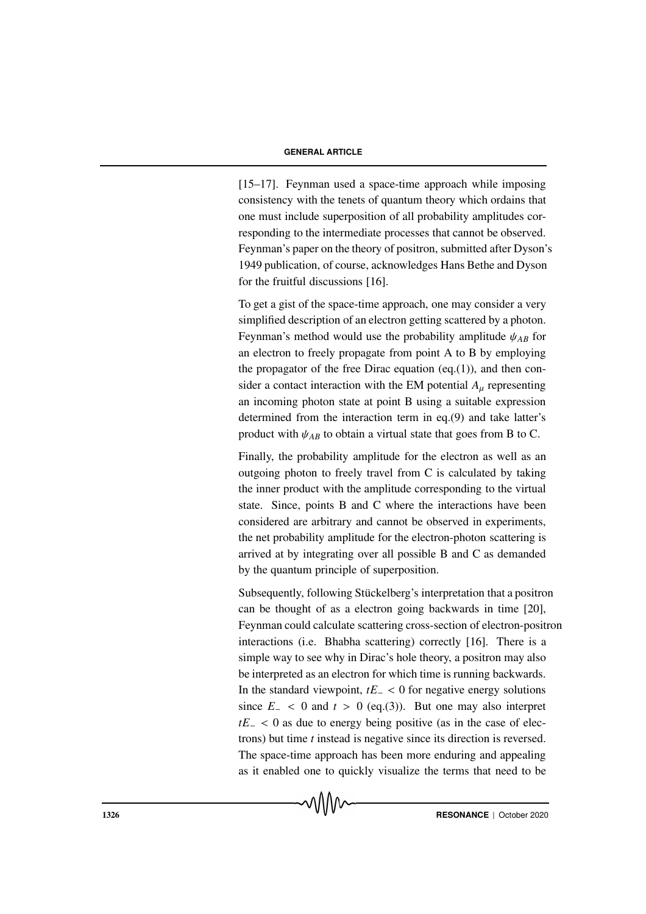[15–17]. Feynman used a space-time approach while imposing consistency with the tenets of quantum theory which ordains that one must include superposition of all probability amplitudes corresponding to the intermediate processes that cannot be observed. Feynman's paper on the theory of positron, submitted after Dyson's 1949 publication, of course, acknowledges Hans Bethe and Dyson for the fruitful discussions [16].

To get a gist of the space-time approach, one may consider a very simplified description of an electron getting scattered by a photon. Feynman's method would use the probability amplitude  $\psi_{AB}$  for an electron to freely propagate from point A to B by employing the propagator of the free Dirac equation (eq. $(1)$ ), and then consider a contact interaction with the EM potential  $A<sub>u</sub>$  representing an incoming photon state at point B using a suitable expression determined from the interaction term in eq.(9) and take latter's product with  $\psi_{AB}$  to obtain a virtual state that goes from B to C.

Finally, the probability amplitude for the electron as well as an outgoing photon to freely travel from C is calculated by taking the inner product with the amplitude corresponding to the virtual state. Since, points B and C where the interactions have been considered are arbitrary and cannot be observed in experiments, the net probability amplitude for the electron-photon scattering is arrived at by integrating over all possible B and C as demanded by the quantum principle of superposition.

Subsequently, following Stückelberg's interpretation that a positron can be thought of as a electron going backwards in time [20], Feynman could calculate scattering cross-section of electron-positron interactions (i.e. Bhabha scattering) correctly [16]. There is a simple way to see why in Dirac's hole theory, a positron may also be interpreted as an electron for which time is running backwards. In the standard viewpoint, *tE*<sup>−</sup> < 0 for negative energy solutions since  $E_$  < 0 and  $t$  > 0 (eq.(3)). But one may also interpret *tE*<sub>−</sub> < 0 as due to energy being positive (as in the case of electrons) but time *t* instead is negative since its direction is reversed. The space-time approach has been more enduring and appealing as it enabled one to quickly visualize the terms that need to be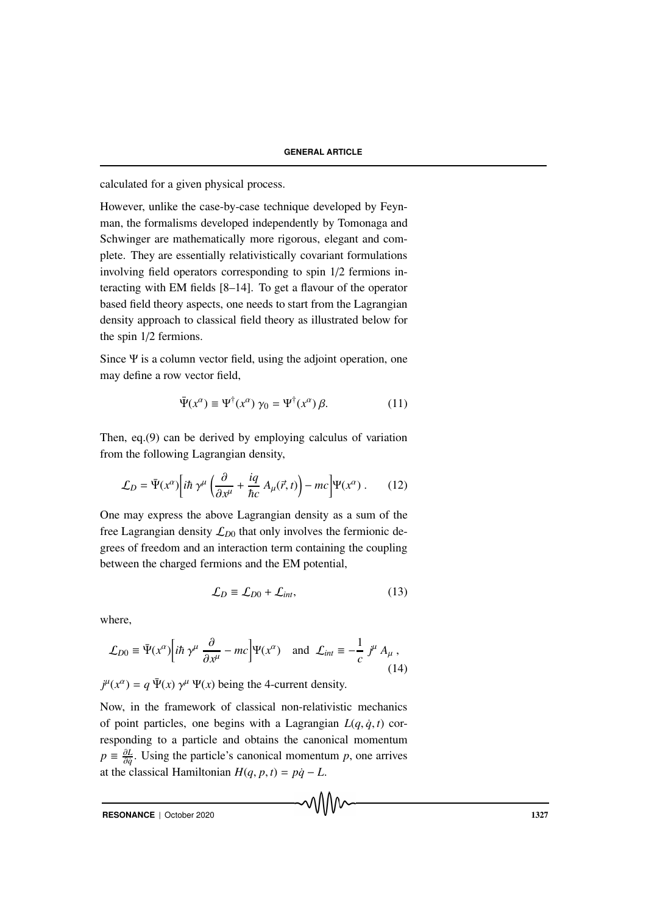calculated for a given physical process.

However, unlike the case-by-case technique developed by Feynman, the formalisms developed independently by Tomonaga and Schwinger are mathematically more rigorous, elegant and complete. They are essentially relativistically covariant formulations involving field operators corresponding to spin 1/2 fermions interacting with EM fields [8–14]. To get a flavour of the operator based field theory aspects, one needs to start from the Lagrangian density approach to classical field theory as illustrated below for the spin 1/2 fermions.

Since Ψ is a column vector field, using the adjoint operation, one may define a row vector field,

$$
\bar{\Psi}(x^{\alpha}) \equiv \Psi^{\dagger}(x^{\alpha}) \gamma_0 = \Psi^{\dagger}(x^{\alpha}) \beta. \tag{11}
$$

Then, eq.(9) can be derived by employing calculus of variation from the following Lagrangian density,

$$
\mathcal{L}_D = \bar{\Psi}(x^{\alpha}) \bigg[ i\hbar \ \gamma^{\mu} \left( \frac{\partial}{\partial x^{\mu}} + \frac{iq}{\hbar c} \ A_{\mu}(\vec{r}, t) \right) - mc \bigg] \Psi(x^{\alpha}) \ . \tag{12}
$$

One may express the above Lagrangian density as a sum of the free Lagrangian density  $\mathcal{L}_{D0}$  that only involves the fermionic degrees of freedom and an interaction term containing the coupling between the charged fermions and the EM potential,

$$
\mathcal{L}_D \equiv \mathcal{L}_{D0} + \mathcal{L}_{int},\tag{13}
$$

where,

$$
\mathcal{L}_{D0} \equiv \bar{\Psi}(x^{\alpha}) \Big[ i\hbar \, \gamma^{\mu} \, \frac{\partial}{\partial x^{\mu}} - mc \Big] \Psi(x^{\alpha}) \quad \text{and} \quad \mathcal{L}_{int} \equiv -\frac{1}{c} \, j^{\mu} \, A_{\mu} \,, \tag{14}
$$

 $j^{\mu}(x^{\alpha}) = q \bar{\Psi}(x) \gamma^{\mu} \Psi(x)$  being the 4-current density.

Now, in the framework of classical non-relativistic mechanics of point particles, one begins with a Lagrangian  $L(q, \dot{q}, t)$  corresponding to a particle and obtains the canonical momentum  $p \equiv \frac{\partial L}{\partial a}$  $\frac{\partial L}{\partial \dot{q}}$ . Using the particle's canonical momentum *p*, one arrives at the classical Hamiltonian  $H(q, p, t) = p\dot{q} - L$ .

**RESONANCE** | October 2020 **1327**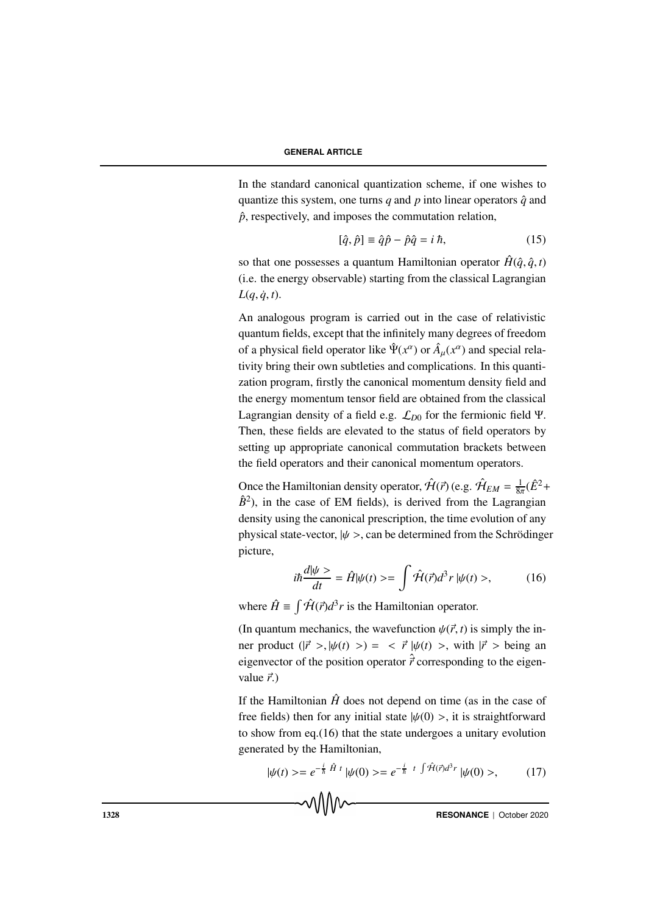In the standard canonical quantization scheme, if one wishes to quantize this system, one turns *q* and *p* into linear operators  $\hat{q}$  and  $\hat{p}$ , respectively, and imposes the commutation relation,

$$
[\hat{q}, \hat{p}] \equiv \hat{q}\hat{p} - \hat{p}\hat{q} = i\hbar, \qquad (15)
$$

so that one possesses a quantum Hamiltonian operator  $\hat{H}(\hat{q}, \hat{q}, t)$ (i.e. the energy observable) starting from the classical Lagrangian  $L(q, \dot{q}, t)$ .

An analogous program is carried out in the case of relativistic quantum fields, except that the infinitely many degrees of freedom of a physical field operator like  $\hat{\Psi}(x^{\alpha})$  or  $\hat{A}_{\mu}(x^{\alpha})$  and special relativity bring their own subtleties and complications. In this quantization program, firstly the canonical momentum density field and the energy momentum tensor field are obtained from the classical Lagrangian density of a field e.g. L*D*<sup>0</sup> for the fermionic field Ψ. Then, these fields are elevated to the status of field operators by setting up appropriate canonical commutation brackets between the field operators and their canonical momentum operators.

Once the Hamiltonian density operator,  $\hat{\mathcal{H}}(\vec{r})$  (e.g.  $\hat{\mathcal{H}}_{EM} = \frac{1}{8\pi}(\hat{E}^2 +$  $\hat{B}^2$ ), in the case of EM fields), is derived from the Lagrangian density using the canonical prescription, the time evolution of any physical state-vector,  $|\psi \rangle$ , can be determined from the Schrödinger picture,

$$
i\hbar \frac{d|\psi\rangle}{dt} = \hat{H}|\psi(t)\rangle = \int \hat{\mathcal{H}}(\vec{r})d^3r |\psi(t)\rangle, \tag{16}
$$

where  $\hat{H} \equiv \int \hat{H}(\vec{r}) d^3 r$  is the Hamiltonian operator.

(In quantum mechanics, the wavefunction  $\psi(\vec{r}, t)$  is simply the inner product  $(|\vec{r} \rangle, |\psi(t) \rangle) = \langle \vec{r} | \psi(t) \rangle$ , with  $|\vec{r} \rangle$  being an eigenvector of the position operator  $\hat{\vec{r}}$  corresponding to the eigenvalue  $\vec{r}$ .)

If the Hamiltonian  $\hat{H}$  does not depend on time (as in the case of free fields) then for any initial state  $|\psi(0)\rangle$ , it is straightforward to show from eq.(16) that the state undergoes a unitary evolution generated by the Hamiltonian,

$$
|\psi(t)\rangle = e^{-\frac{i}{\hbar}\hat{H}t} |\psi(0)\rangle = e^{-\frac{i}{\hbar}t} \int \hat{\mathcal{H}}(\vec{r})d^3r |\psi(0)\rangle, \tag{17}
$$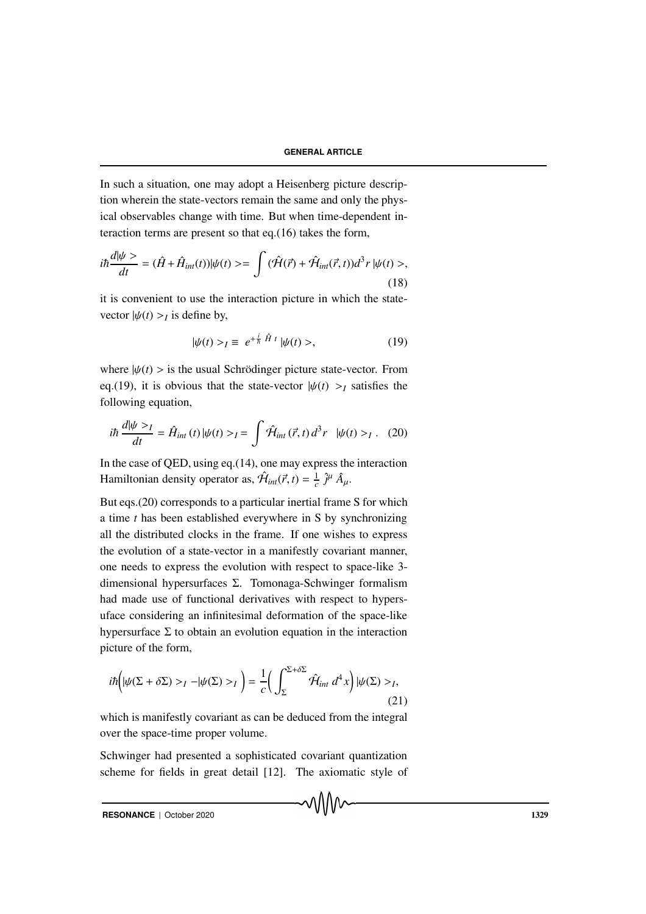In such a situation, one may adopt a Heisenberg picture description wherein the state-vectors remain the same and only the physical observables change with time. But when time-dependent interaction terms are present so that eq.(16) takes the form,

$$
i\hbar \frac{d|\psi\rangle}{dt} = (\hat{H} + \hat{H}_{int}(t))|\psi(t)\rangle = \int (\hat{\mathcal{H}}(\vec{r}) + \hat{\mathcal{H}}_{int}(\vec{r}, t))d^3r |\psi(t)\rangle,
$$
\n(18)

it is convenient to use the interaction picture in which the statevector  $|\psi(t) >_I$  is define by,

$$
|\psi(t) \rangle_I \equiv e^{+\frac{i}{\hbar} \hat{H} t} |\psi(t) \rangle, \qquad (19)
$$

where  $|\psi(t)\rangle$  is the usual Schrödinger picture state-vector. From eq.(19), it is obvious that the state-vector  $|\psi(t)\rangle$  at states the following equation,

$$
i\hbar \frac{d|\psi>_{I}}{dt} = \hat{H}_{int}(t) |\psi(t)>_{I} = \int \hat{\mathcal{H}}_{int}(\vec{r}, t) d^{3}r \quad |\psi(t)>_{I}. \quad (20)
$$

In the case of QED, using eq.(14), one may express the interaction Hamiltonian density operator as,  $\hat{\mathcal{H}}_{int}(\vec{r}, t) = \frac{1}{c} \hat{j}^{\mu} \hat{A}_{\mu}$ .

But eqs.(20) corresponds to a particular inertial frame S for which a time *t* has been established everywhere in S by synchronizing all the distributed clocks in the frame. If one wishes to express the evolution of a state-vector in a manifestly covariant manner, one needs to express the evolution with respect to space-like 3 dimensional hypersurfaces Σ. Tomonaga-Schwinger formalism had made use of functional derivatives with respect to hypersuface considering an infinitesimal deformation of the space-like hypersurface  $\Sigma$  to obtain an evolution equation in the interaction picture of the form,

$$
i\hbar \left( |\psi(\Sigma + \delta \Sigma) >_I - |\psi(\Sigma) >_I \right) = \frac{1}{c} \left( \int_{\Sigma}^{\Sigma + \delta \Sigma} \hat{\mathcal{H}}_{int} d^4 x \right) |\psi(\Sigma) >_I,
$$
\n(21)

which is manifestly covariant as can be deduced from the integral over the space-time proper volume.

Schwinger had presented a sophisticated covariant quantization scheme for fields in great detail [12]. The axiomatic style of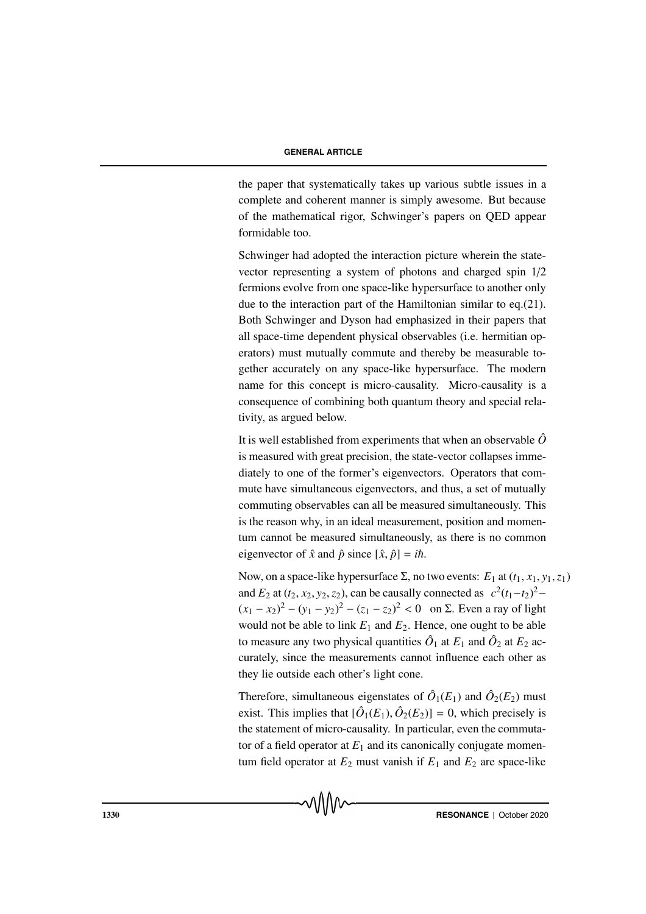the paper that systematically takes up various subtle issues in a complete and coherent manner is simply awesome. But because of the mathematical rigor, Schwinger's papers on QED appear formidable too.

Schwinger had adopted the interaction picture wherein the statevector representing a system of photons and charged spin 1/2 fermions evolve from one space-like hypersurface to another only due to the interaction part of the Hamiltonian similar to eq.(21). Both Schwinger and Dyson had emphasized in their papers that all space-time dependent physical observables (i.e. hermitian operators) must mutually commute and thereby be measurable together accurately on any space-like hypersurface. The modern name for this concept is micro-causality. Micro-causality is a consequence of combining both quantum theory and special relativity, as argued below.

It is well established from experiments that when an observable  $\hat{O}$ is measured with great precision, the state-vector collapses immediately to one of the former's eigenvectors. Operators that commute have simultaneous eigenvectors, and thus, a set of mutually commuting observables can all be measured simultaneously. This is the reason why, in an ideal measurement, position and momentum cannot be measured simultaneously, as there is no common eigenvector of  $\hat{x}$  and  $\hat{p}$  since  $[\hat{x}, \hat{p}] = i\hbar$ .

Now, on a space-like hypersurface Σ, no two events:  $E_1$  at  $(t_1, x_1, y_1, z_1)$ and  $E_2$  at  $(t_2, x_2, y_2, z_2)$ , can be causally connected as  $c^2(t_1-t_2)^2$  $(x_1 - x_2)^2 - (y_1 - y_2)^2 - (z_1 - z_2)^2 < 0$  on Σ. Even a ray of light would not be able to link  $E_1$  and  $E_2$ . Hence, one ought to be able to measure any two physical quantities  $\hat{O}_1$  at  $E_1$  and  $\hat{O}_2$  at  $E_2$  accurately, since the measurements cannot influence each other as they lie outside each other's light cone.

Therefore, simultaneous eigenstates of  $\hat{O}_1(E_1)$  and  $\hat{O}_2(E_2)$  must exist. This implies that  $[\hat{O}_1(E_1), \hat{O}_2(E_2)] = 0$ , which precisely is the statement of micro-causality. In particular, even the commutator of a field operator at  $E_1$  and its canonically conjugate momentum field operator at  $E_2$  must vanish if  $E_1$  and  $E_2$  are space-like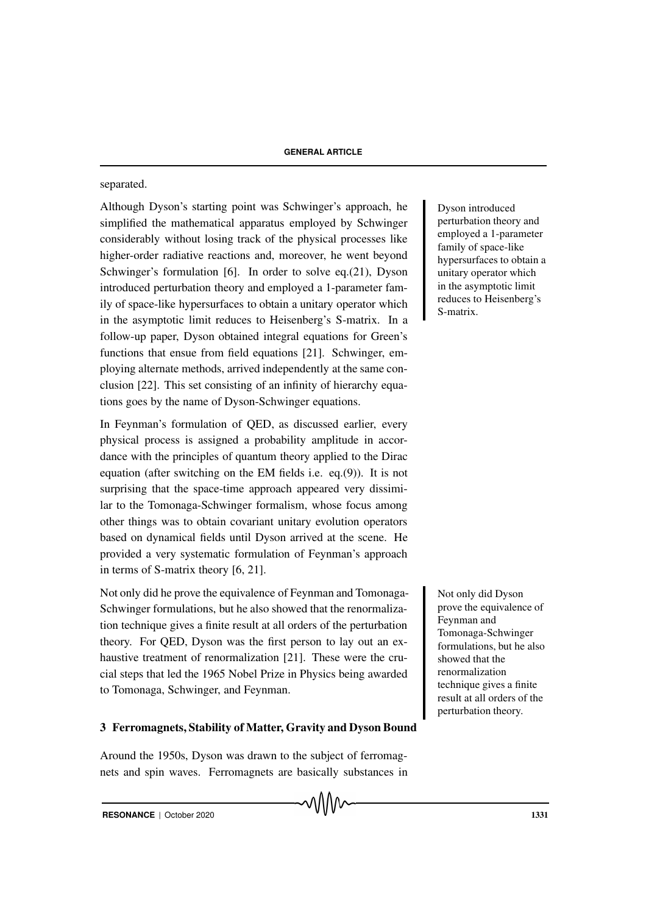## separated.

Although Dyson's starting point was Schwinger's approach, he Dyson introduced simplified the mathematical apparatus employed by Schwinger considerably without losing track of the physical processes like higher-order radiative reactions and, moreover, he went beyond Schwinger's formulation [6]. In order to solve eq.(21), Dyson introduced perturbation theory and employed a 1-parameter family of space-like hypersurfaces to obtain a unitary operator which in the asymptotic limit reduces to Heisenberg's S-matrix. In a follow-up paper, Dyson obtained integral equations for Green's functions that ensue from field equations [21]. Schwinger, employing alternate methods, arrived independently at the same conclusion [22]. This set consisting of an infinity of hierarchy equations goes by the name of Dyson-Schwinger equations.

In Feynman's formulation of QED, as discussed earlier, every physical process is assigned a probability amplitude in accordance with the principles of quantum theory applied to the Dirac equation (after switching on the EM fields i.e. eq.(9)). It is not surprising that the space-time approach appeared very dissimilar to the Tomonaga-Schwinger formalism, whose focus among other things was to obtain covariant unitary evolution operators based on dynamical fields until Dyson arrived at the scene. He provided a very systematic formulation of Feynman's approach in terms of S-matrix theory [6, 21].

Not only did he prove the equivalence of Feynman and Tomonaga- Not only did Dyson Schwinger formulations, but he also showed that the renormalization technique gives a finite result at all orders of the perturbation theory. For QED, Dyson was the first person to lay out an exhaustive treatment of renormalization [21]. These were the crucial steps that led the 1965 Nobel Prize in Physics being awarded to Tomonaga, Schwinger, and Feynman.

## 3 Ferromagnets, Stability of Matter, Gravity and Dyson Bound

Around the 1950s, Dyson was drawn to the subject of ferromagnets and spin waves. Ferromagnets are basically substances in perturbation theory and employed a 1-parameter family of space-like hypersurfaces to obtain a unitary operator which in the asymptotic limit reduces to Heisenberg's S-matrix.

prove the equivalence of Feynman and Tomonaga-Schwinger formulations, but he also showed that the renormalization technique gives a finite result at all orders of the perturbation theory.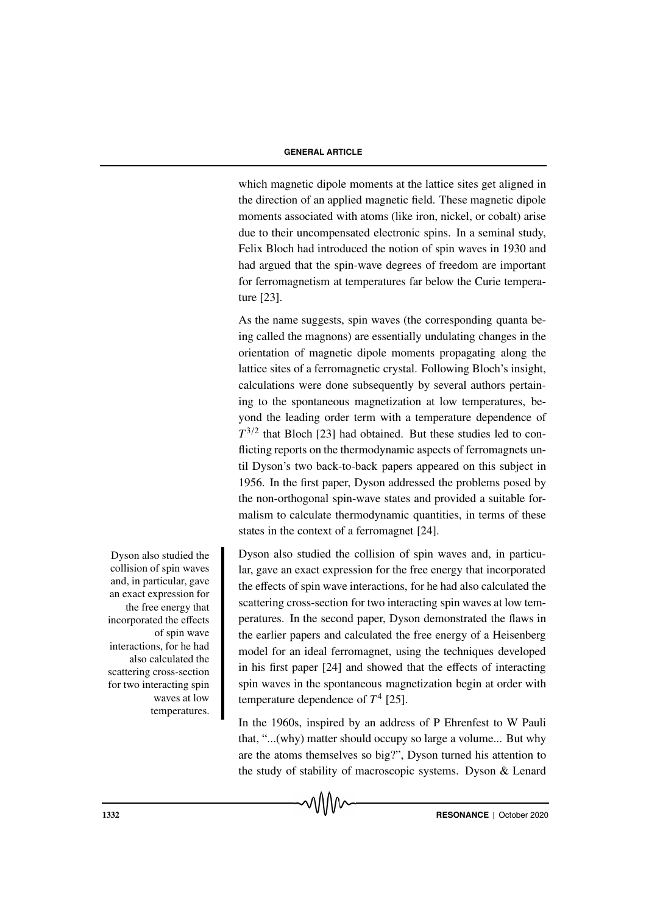which magnetic dipole moments at the lattice sites get aligned in the direction of an applied magnetic field. These magnetic dipole moments associated with atoms (like iron, nickel, or cobalt) arise due to their uncompensated electronic spins. In a seminal study, Felix Bloch had introduced the notion of spin waves in 1930 and had argued that the spin-wave degrees of freedom are important for ferromagnetism at temperatures far below the Curie temperature [23].

As the name suggests, spin waves (the corresponding quanta being called the magnons) are essentially undulating changes in the orientation of magnetic dipole moments propagating along the lattice sites of a ferromagnetic crystal. Following Bloch's insight, calculations were done subsequently by several authors pertaining to the spontaneous magnetization at low temperatures, beyond the leading order term with a temperature dependence of  $T^{3/2}$  that Bloch [23] had obtained. But these studies led to conflicting reports on the thermodynamic aspects of ferromagnets until Dyson's two back-to-back papers appeared on this subject in 1956. In the first paper, Dyson addressed the problems posed by the non-orthogonal spin-wave states and provided a suitable formalism to calculate thermodynamic quantities, in terms of these states in the context of a ferromagnet [24].

Dyson also studied the collision of spin waves and, in particular, gave an exact expression for the free energy that incorporated the effects of spin wave interactions, for he had also calculated the scattering cross-section for two interacting spin waves at low temperatures. In the second paper, Dyson demonstrated the flaws in the earlier papers and calculated the free energy of a Heisenberg model for an ideal ferromagnet, using the techniques developed in his first paper [24] and showed that the effects of interacting spin waves in the spontaneous magnetization begin at order with temperature dependence of  $T^4$  [25].

In the 1960s, inspired by an address of P Ehrenfest to W Pauli that, "...(why) matter should occupy so large a volume... But why are the atoms themselves so big?", Dyson turned his attention to the study of stability of macroscopic systems. Dyson & Lenard

Dyson also studied the collision of spin waves and, in particular, gave an exact expression for the free energy that incorporated the effects of spin wave interactions, for he had also calculated the scattering cross-section for two interacting spin waves at low temperatures.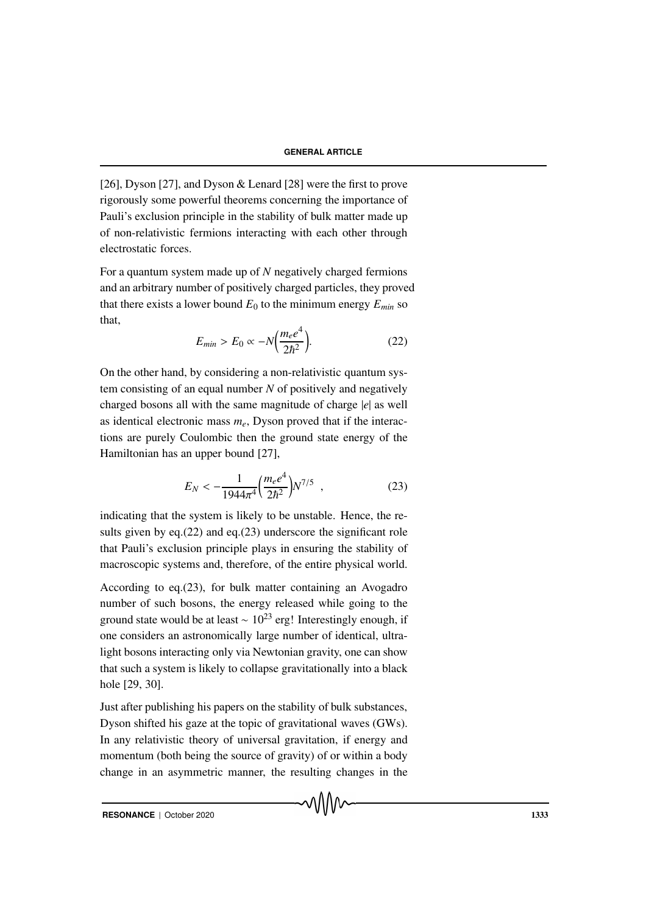[26], Dyson [27], and Dyson & Lenard [28] were the first to prove rigorously some powerful theorems concerning the importance of Pauli's exclusion principle in the stability of bulk matter made up of non-relativistic fermions interacting with each other through electrostatic forces.

For a quantum system made up of *N* negatively charged fermions and an arbitrary number of positively charged particles, they proved that there exists a lower bound  $E_0$  to the minimum energy  $E_{min}$  so that,

$$
E_{min} > E_0 \propto -N \left(\frac{m_e e^4}{2\hbar^2}\right). \tag{22}
$$

On the other hand, by considering a non-relativistic quantum system consisting of an equal number *N* of positively and negatively charged bosons all with the same magnitude of charge |*e*| as well as identical electronic mass  $m_e$ , Dyson proved that if the interactions are purely Coulombic then the ground state energy of the Hamiltonian has an upper bound [27],

$$
E_N < -\frac{1}{1944\pi^4} \left(\frac{m_e e^4}{2\hbar^2}\right) N^{7/5} \tag{23}
$$

indicating that the system is likely to be unstable. Hence, the results given by eq.(22) and eq.(23) underscore the significant role that Pauli's exclusion principle plays in ensuring the stability of macroscopic systems and, therefore, of the entire physical world.

According to eq.(23), for bulk matter containing an Avogadro number of such bosons, the energy released while going to the ground state would be at least  $\sim 10^{23}$  erg! Interestingly enough, if one considers an astronomically large number of identical, ultralight bosons interacting only via Newtonian gravity, one can show that such a system is likely to collapse gravitationally into a black hole [29, 30].

Just after publishing his papers on the stability of bulk substances, Dyson shifted his gaze at the topic of gravitational waves (GWs). In any relativistic theory of universal gravitation, if energy and momentum (both being the source of gravity) of or within a body change in an asymmetric manner, the resulting changes in the

**RESONANCE** | October 2020 **1333**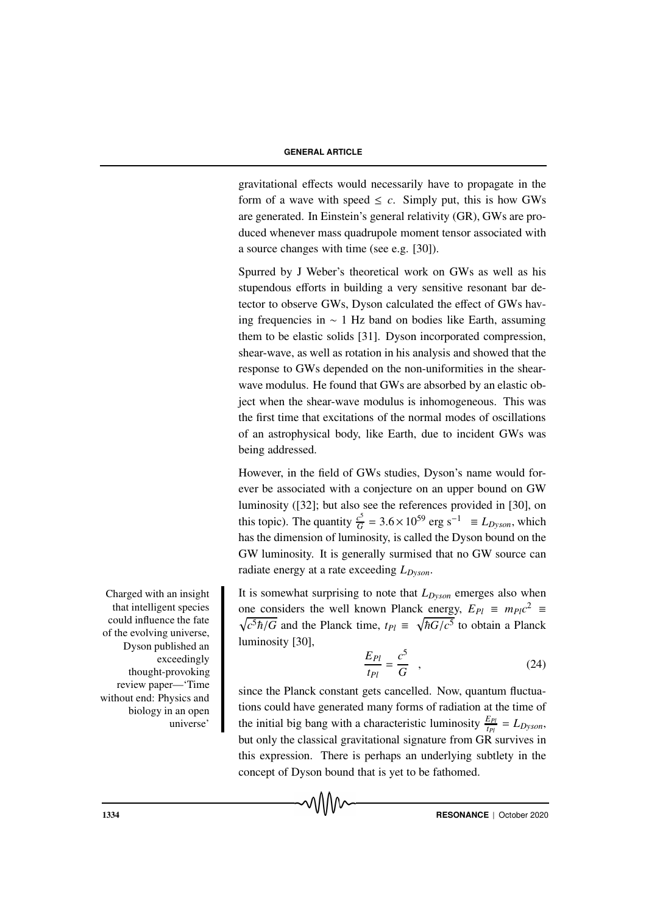gravitational effects would necessarily have to propagate in the form of a wave with speed  $\leq c$ . Simply put, this is how GWs are generated. In Einstein's general relativity (GR), GWs are produced whenever mass quadrupole moment tensor associated with a source changes with time (see e.g. [30]).

Spurred by J Weber's theoretical work on GWs as well as his stupendous efforts in building a very sensitive resonant bar detector to observe GWs, Dyson calculated the effect of GWs having frequencies in ∼ 1 Hz band on bodies like Earth, assuming them to be elastic solids [31]. Dyson incorporated compression, shear-wave, as well as rotation in his analysis and showed that the response to GWs depended on the non-uniformities in the shearwave modulus. He found that GWs are absorbed by an elastic object when the shear-wave modulus is inhomogeneous. This was the first time that excitations of the normal modes of oscillations of an astrophysical body, like Earth, due to incident GWs was being addressed.

However, in the field of GWs studies, Dyson's name would forever be associated with a conjecture on an upper bound on GW luminosity ([32]; but also see the references provided in [30], on this topic). The quantity  $\frac{c^5}{G} = 3.6 \times 10^{59}$  erg s<sup>-1</sup> = *L*<sub>*Dyson*</sub>, which has the dimension of luminosity, is called the Dyson bound on the GW luminosity. It is generally surmised that no GW source can radiate energy at a rate exceeding *LDyson*.

It is somewhat surprising to note that  $L_{Dvson}$  emerges also when one considers the well known Planck energy,  $E_{Pl} \equiv m_{Pl}c^2 \equiv$  $\sqrt{c^5 \hbar / G}$  and the Planck time,  $t_{Pl} \equiv \sqrt{\hbar G/c^5}$  to obtain a Planck luminosity [30],

$$
\frac{E_{Pl}}{t_{Pl}} = \frac{c^5}{G} \quad , \tag{24}
$$

since the Planck constant gets cancelled. Now, quantum fluctuations could have generated many forms of radiation at the time of the initial big bang with a characteristic luminosity  $\frac{E_{Pl}}{t_{Pl}} = L_{Dyson}$ , but only the classical gravitational signature from GR survives in this expression. There is perhaps an underlying subtlety in the concept of Dyson bound that is yet to be fathomed.

Charged with an insight that intelligent species could influence the fate of the evolving universe, Dyson published an exceedingly thought-provoking review paper—'Time without end: Physics and biology in an open universe'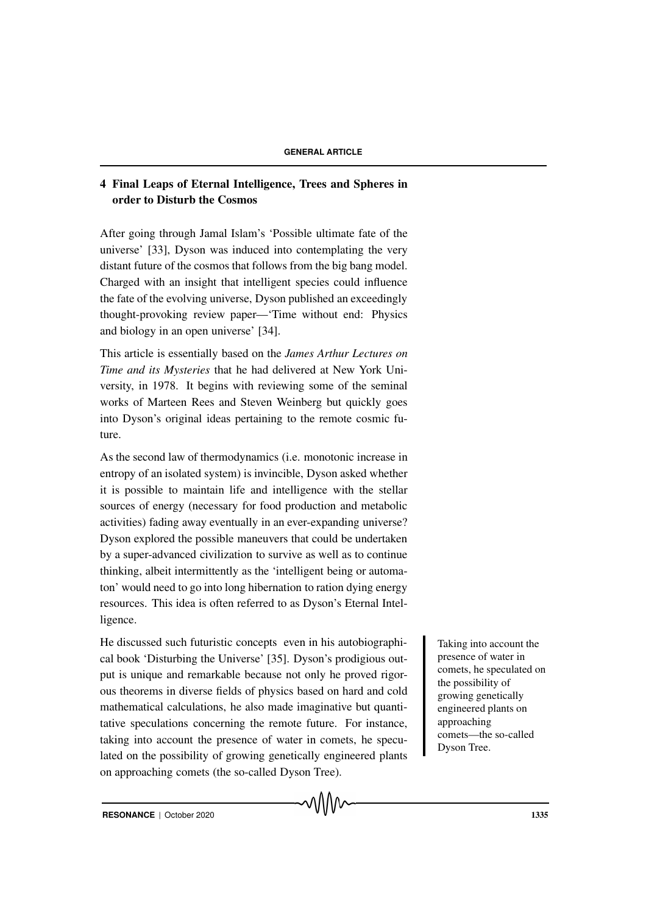## 4 Final Leaps of Eternal Intelligence, Trees and Spheres in order to Disturb the Cosmos

After going through Jamal Islam's 'Possible ultimate fate of the universe' [33], Dyson was induced into contemplating the very distant future of the cosmos that follows from the big bang model. Charged with an insight that intelligent species could influence the fate of the evolving universe, Dyson published an exceedingly thought-provoking review paper—'Time without end: Physics and biology in an open universe' [34].

This article is essentially based on the *James Arthur Lectures on Time and its Mysteries* that he had delivered at New York University, in 1978. It begins with reviewing some of the seminal works of Marteen Rees and Steven Weinberg but quickly goes into Dyson's original ideas pertaining to the remote cosmic future.

As the second law of thermodynamics (i.e. monotonic increase in entropy of an isolated system) is invincible, Dyson asked whether it is possible to maintain life and intelligence with the stellar sources of energy (necessary for food production and metabolic activities) fading away eventually in an ever-expanding universe? Dyson explored the possible maneuvers that could be undertaken by a super-advanced civilization to survive as well as to continue thinking, albeit intermittently as the 'intelligent being or automaton' would need to go into long hibernation to ration dying energy resources. This idea is often referred to as Dyson's Eternal Intelligence.

He discussed such futuristic concepts even in his autobiographi- Taking into account the cal book 'Disturbing the Universe' [35]. Dyson's prodigious output is unique and remarkable because not only he proved rigorous theorems in diverse fields of physics based on hard and cold mathematical calculations, he also made imaginative but quantitative speculations concerning the remote future. For instance, taking into account the presence of water in comets, he speculated on the possibility of growing genetically engineered plants on approaching comets (the so-called Dyson Tree).

presence of water in comets, he speculated on the possibility of growing genetically engineered plants on approaching comets—the so-called Dyson Tree.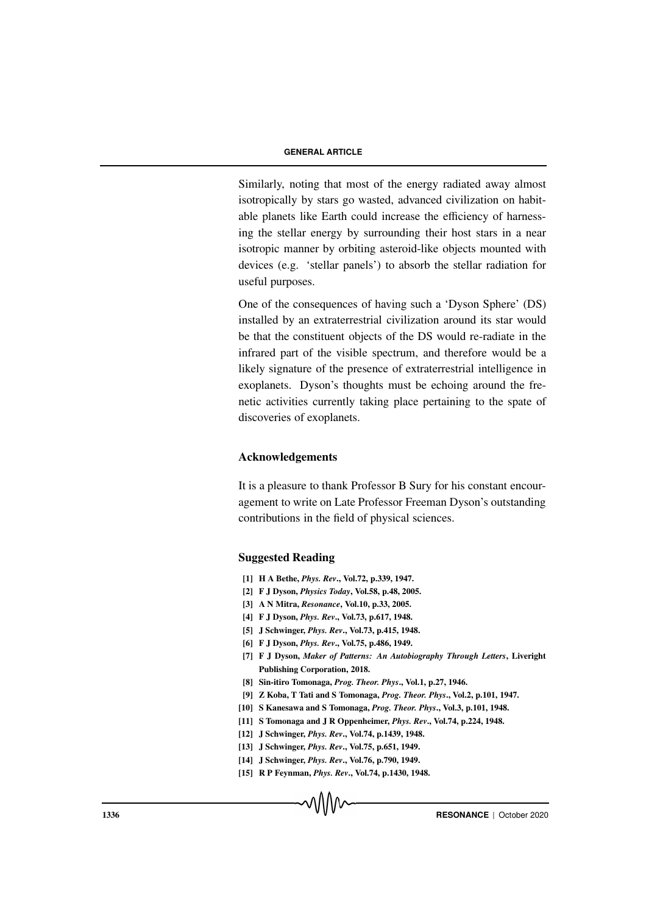Similarly, noting that most of the energy radiated away almost isotropically by stars go wasted, advanced civilization on habitable planets like Earth could increase the efficiency of harnessing the stellar energy by surrounding their host stars in a near isotropic manner by orbiting asteroid-like objects mounted with devices (e.g. 'stellar panels') to absorb the stellar radiation for useful purposes.

One of the consequences of having such a 'Dyson Sphere' (DS) installed by an extraterrestrial civilization around its star would be that the constituent objects of the DS would re-radiate in the infrared part of the visible spectrum, and therefore would be a likely signature of the presence of extraterrestrial intelligence in exoplanets. Dyson's thoughts must be echoing around the frenetic activities currently taking place pertaining to the spate of discoveries of exoplanets.

## Acknowledgements

It is a pleasure to thank Professor B Sury for his constant encouragement to write on Late Professor Freeman Dyson's outstanding contributions in the field of physical sciences.

## Suggested Reading

- [1] H A Bethe, *Phys. Rev*., Vol.72, p.339, 1947.
- [2] F J Dyson, *Physics Today*, Vol.58, p.48, 2005.
- [3] A N Mitra, *Resonance*, Vol.10, p.33, 2005.
- [4] F J Dyson, *Phys. Rev*., Vol.73, p.617, 1948.
- [5] J Schwinger, *Phys. Rev*., Vol.73, p.415, 1948.
- [6] F J Dyson, *Phys. Rev*., Vol.75, p.486, 1949.
- [7] F J Dyson, *Maker of Patterns: An Autobiography Through Letters*, Liveright Publishing Corporation, 2018.
- [8] Sin-itiro Tomonaga, *Prog. Theor. Phys*., Vol.1, p.27, 1946.
- [9] Z Koba, T Tati and S Tomonaga, *Prog. Theor. Phys*., Vol.2, p.101, 1947.
- [10] S Kanesawa and S Tomonaga, *Prog. Theor. Phys*., Vol.3, p.101, 1948.
- [11] S Tomonaga and J R Oppenheimer, *Phys. Rev*., Vol.74, p.224, 1948.
- [12] J Schwinger, *Phys. Rev*., Vol.74, p.1439, 1948.
- [13] J Schwinger, *Phys. Rev*., Vol.75, p.651, 1949.
- [14] J Schwinger, *Phys. Rev*., Vol.76, p.790, 1949.
- [15] R P Feynman, *Phys. Rev*., Vol.74, p.1430, 1948.